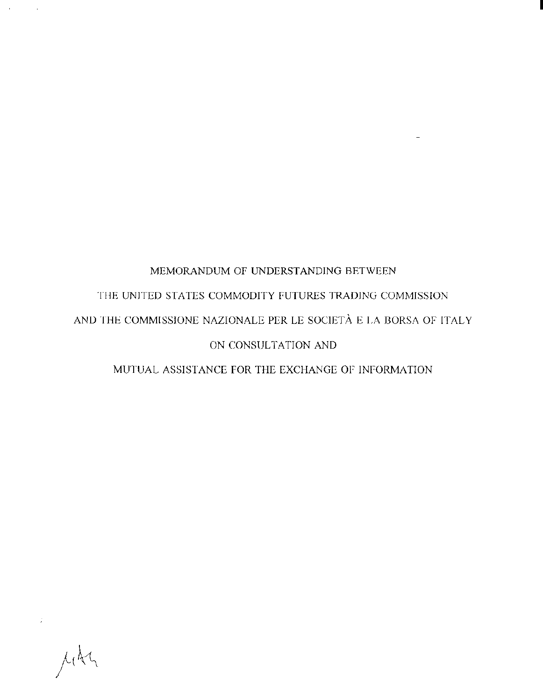# MEMORANDUM Of UNDERSTANDING BETWEEN THE UNITED STATES COMMODITY FUTURES TRADING COMMISSION AND THE COMMISSIONE NAZIONALE PER LE SOCIETÀ E LA BORSA OF ITALY ON CONSULTATION AND

I

MUTUAL ASSISTANCE FOR THE EXCHANGE OF INFORMATION

i<br>Mota

 $\sim$   $\sim$ 

 $\sim 10^{-11}$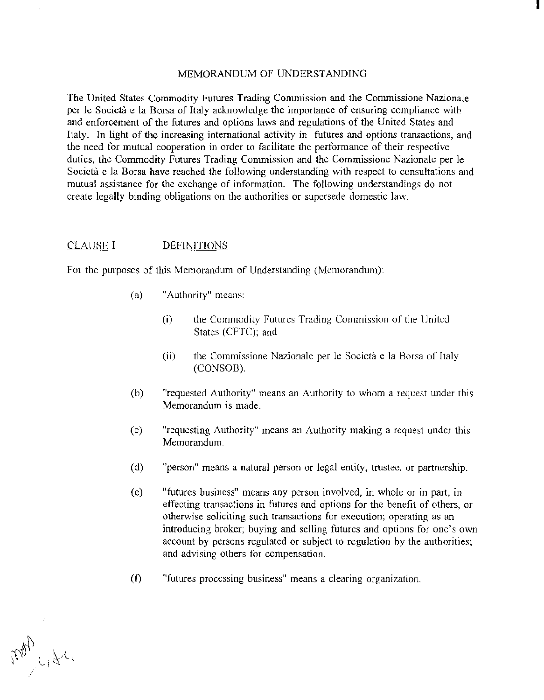### MEMORANDUM OF UNDERSTANDING

I

The United States Commodity Futures Trading Commission and the Commissione Nazionale per le Societa e la Borsa of Italy acknowledge the importance of ensuring compliance with and enforcement of the futures and options laws and regulations of the United States and Italy. In light of the increasing international activity in futures and options transactions, and the need for mutual cooperation in order to facilitate the performance of their respective duties, the Commodity Futures Trading Commission and the Commissione Nazionale per le Società e la Borsa have reached the following understanding with respect to consultations and mutual assistance for the exchange of information. The following understandings do not create legally binding obligations on the authorities or supersede domestic law.

#### CLAUSE I DEFINITIONS

For the purposes of this Memorandum of Understanding (Memorandum):

- (a) "Authority" means:
	- (i) the Commodity Futures Trading Commission of the United States (CFTC); and
	- (ii) the Commissione Nazionale per le Società e la Borsa of Italy (CONSOB).
- (b) "requested Authority" means an Authority to whom a request under this Memorandum is made.
- (c) "requesting Authority" means an Authority making a request under this Memorandum.
- (d) "person" means a natural person or legal entity, trustee, or partnership.
- (c) "futures business" means any person involved, in whole or in part, in effecting transactions in futures and options for the benefit of others, or otherwise soliciting such transactions for execution; operating as an introducing broker; buying and selling futures and options for one's own account by persons regulated or subject to regulation by the authorities; and advising others for compensation.
- (f) "futures processing business" means a clearing organization.

Map 421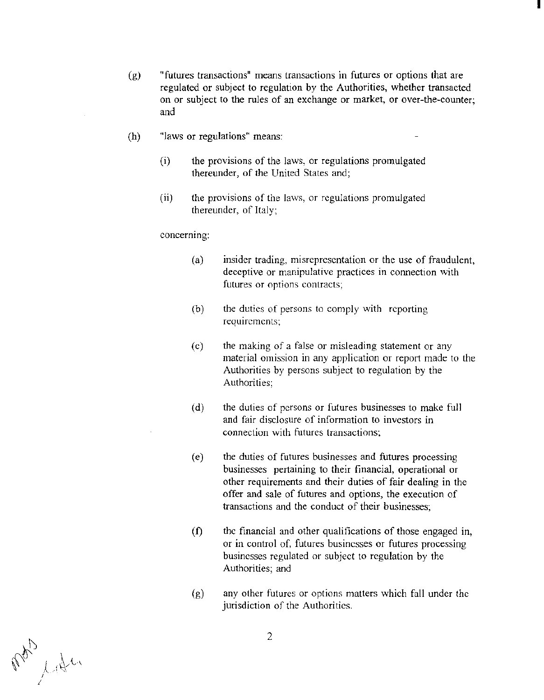(g) "futures transactions" means transactions in futures or options that are regulated or subject to regulation by the Authorities, whether transacted on or subject to the rules of an exchange or market, or over-the-counter; and

I

- (h) "laws or regulations" means:
	- (i) the provisions of the laws, or regulations promulgated thereunder, of the United States and;
	- (ii) the provisions of the laws, or regulations promulgated thereunder, of Italy;

concerning:

- (a) insider trading, misrepresentation or the use of fraudulent, deceptive or manipulative practices in connection with futures or options contracts;
- (b) the duties of persons to comply with reporting requirements;
- (c) the making of a false or misleading statement or any material omission in any application or report made to the Authorities by persons subject to regulation by the Authorities;
- (d) the duties of persons or futures businesses to make full and fair disclosure of information to investors in connection with futures transactions:
- (e) the duties of futures businesses and futures processing businesses pertaining to their financial, operational or other requirements and their duties of fair dealing in the offer and sale of futures and options, the execution of transactions and the conduct of their businesses;
- (f) the financial and other qualifications of those engaged in, or in control of, futures businesses or futures processing businesses regulated or subject to regulation by the Authorities; and
- (g) any other futures or options matters which fall under the jurisdiction of the Authorities.

t: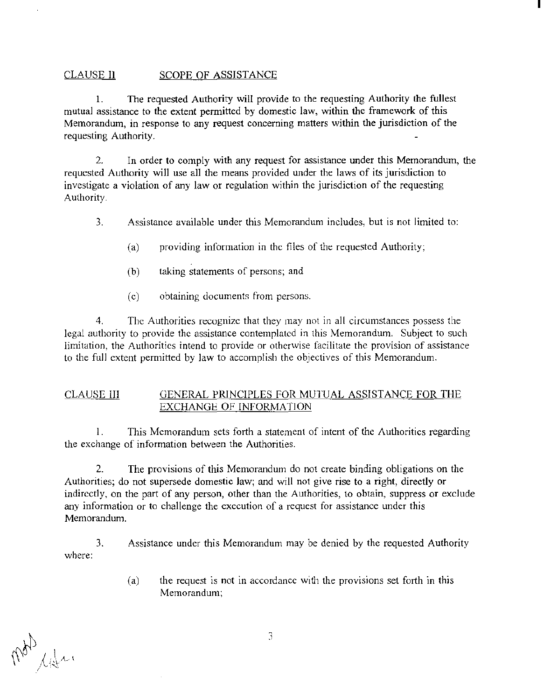# CLAUSE II SCOPE OF ASSISTANCE

1. The requested Authority will provide to the requesting Authority the fullest mutual assistance to the extent permitted by domestic law, within the framework of this Memorandum, in response to any request concerning matters within the jurisdiction of the requesting Authority.

I

2. In order to comply with any request for assistance under this Memorandum, the requested Authority will use all the means provided under the laws of its jurisdiction to investigate a violation of any law or regulation within the jurisdiction of the requesting Authority.

- 3. Assistance available under this Memorandum includes, but is not limited to:
	- (a) providing information in the files of the requested Authority;
	- (b) taking statements of persons; and
	- (c) obtaining documents from persons.

4. The Authorities recognize that they may not in all circumstances possess the legal authority to provide the assistance contemplated in this Memorandum. Subject to such limitation, the Authorities intend to provide or otherwise facilitate the provision of assistance to the full extent permitted by law to accomplish the objectives of this Memorandum.

# CLAUSE Ill GENERAL PRINCIPLES FOR MUTUAL ASSISTANCE FOR THE EXCHANGE OF INFORMATION

l. This Memorandum sets forth a statement of intent of the Authorities regarding the exchange of information between the Authorities.

2. The provisions of this Memorandum do not create binding obligations on the Authorities; do not supersede domestic Jaw; and will not give rise to a right, directly or indirectly, on the part of any person, other than the Authorities, to obtain, suppress or exclude any information or to challenge the execution of a request for assistance under this Memorandum.

where: 3. Assistance under this Memorandum may be denied by the requested Authority

> (a) the request is not in accordance with the provisions set forth in this Memorandum;

of 14m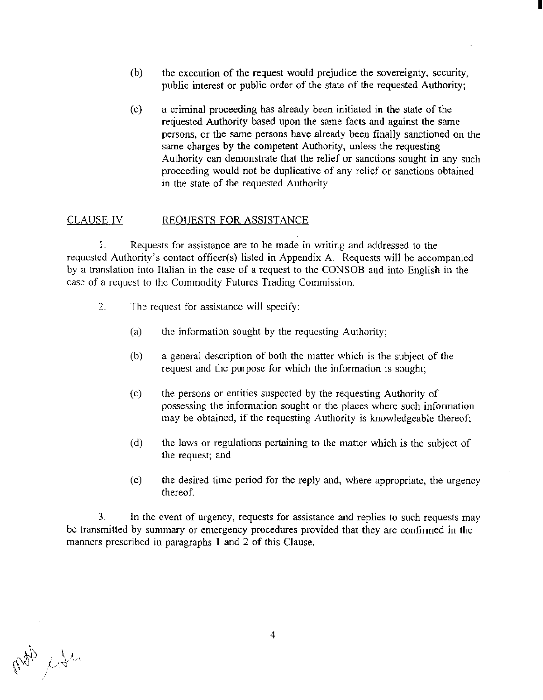(b) the execution of the request would prejudice the sovereignty, security, public interest or public order of the state of the requested Authority;

I

(c) a criminal proceeding has already been initiated in the state of the requested Authority based upon the same facts and against the same persons, or the same persons have already been finally sanctioned on the same charges by the competent Authority, unless the requesting Authority can demonstrate that the relief or sanctions sought in any such proceeding would not be duplicative of any relief or sanctions obtained in the state of the requested Authority.

#### CLAUSE IV REQUESTS FOR ASSISTANCE

1. Requests for assistance are to be made in writing and addressed to the requested Authority's contact officer(s) listed in Appendix A. Requests will be accompanied by a translation into Italian in the case of a request to the CONSOB and into English in the case of a request to the Commodity Futures Trading Commission.

- 2. The request for assistance will specify:
	- (a) the information sought by the requesting Authority;
	- (h) a general description of both the matter which is the subject of the request and the purpose for which the information is sought;
	- (c) the persons or entities suspected by the requesting Authority of possessing the information sought or the places where such information may be obtained, if the requesting Authority is knowledgeable thereof;
	- (d) the laws or regulations pertaining to the matter which is the subject of the request; and
	- (e) the desired time period for the reply and, where appropriate, the urgency thereof.

3. In the event of urgency, requests for assistance and replies to such requests may be transmitted by summary or emergency procedures provided that they are confirmed in the manners prescribed in paragraphs 1 and 2 of this Clause.

pot city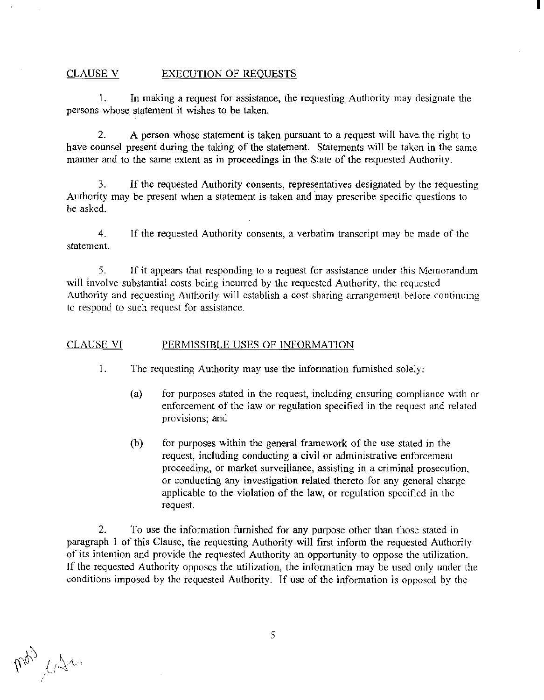#### CLAUSE V EXECUTION OF REQUESTS

1. In making a request for assistance, the requesting Authority may designate the persons whose statement it wishes to be taken.

I

2. A person whose statement is taken pursuant to a request will have. the right to have counsel present during the taking of the statement. Statements will be taken in the same manner and to the same extent as in proceedings in the State of the requested Authority.

3. If the requested Authority consents, representatives designated by the requesting Authority may be present when a statement is taken and may prescribe specific questions to be asked.

4. If the requested Authority consents, a verbatim transcript may be made of the statement.

5. If it appears that responding to a request for assistance under this Memorandum will involve substantial costs being incurred by the requested Authority, the requested Authority and requesting Authority will establish a cost sharing arrangement before continuing to respond to such request for assistance.

# CLAUSE VI PERMISSIBLE USES OF INFORMATION

1. The requesting Authority may use the information furnished solely:

- (a) for purposes stated in the request, including ensuring compliance with or enforcement of the law or regulation specified in the request and related provisions; and
- (b) for purposes within the general framework of the use stated in the request, including conducting a civil or administrative enforcement proceeding, or market surveillance, assisting in a criminal prosecution, or conducting any investigation related thereto for any general charge applicable to the violation of the law, or regulation specified in the request.

2. To use the information furnished for any purpose other than those stated in paragraph I of this Clause, the requesting Authority will first inform the requested Authority of its intention and provide the requested Authority an opportunity to oppose the utilization. If the requested Authority opposes the utilization, the information may be used only under the conditions imposed by the requested Authority. If use of the information is opposed by the

Map light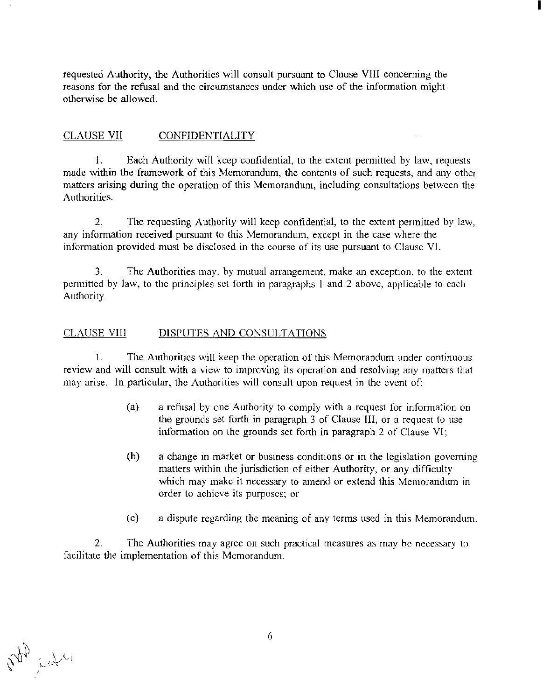requested Authority, the Authorities will consult pursuant to Clause VIII concerning the reasons for the refusal and the circumstances under which use of the information might otherwise be allowed.

I

# CLAUSE VII CONFIDENTIALITY

1. Each Authority will keep confidential, to the extent permitted by law, requests made within the framework of this Memorandum, the contents of such requests, and any other matters arising during the operation of this Memorandum, including consultations between the Authorities.

2. The requesting Authority will keep confidential, to the extent permitted by law, any information received pursuant to this Memorandum, except in the case where the information provided must be disclosed in the course of its use pursuant to Clause VI.

3. The Authorities may, by mutual arrangement, make an exception, to the extent permitted by law, to the principles set forth in paragraphs 1 and 2 above, applicable to each Authority.

# CLAUSE VIII DISPUTES AND CONSULTATIONS

1. The Authorities will keep the operation of this Memorandum under continuous review and will consult with a view to improving its operation and resolving any matters that may arise. In particular, the Authorities will consult upon request in the event of:

- (a) a refusal by one Authority to comply with a request for information on the grounds set forth in paragraph 3 of Clause Ill, or a request to use information on the grounds set forth in paragraph 2 of Clause VI;
- (b) a change in market or business conditions or in the legislation governing matters within the jurisdiction of either Authority, or any difficulty which may make it necessary to amend or extend this Memorandum in order to achieve its purposes; or
- (c) a dispute regarding the meaning of any terms used in this Memorandum.

2. The Authorities may agree on such practical measures as may he necessary to facilitate the implementation of this Memorandum.

in